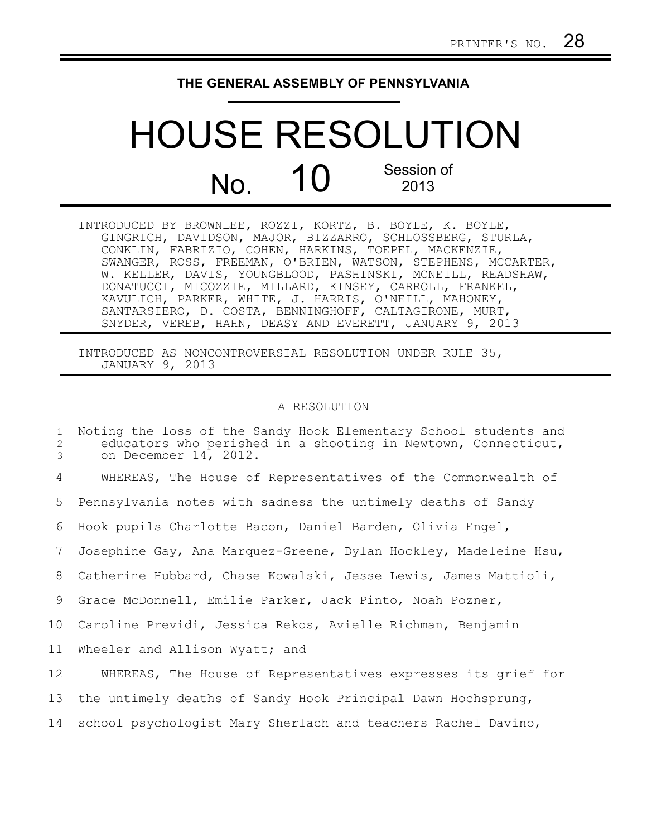## **THE GENERAL ASSEMBLY OF PENNSYLVANIA**

## HOUSE RESOLUTION  $N<sub>0</sub>$  10 Session of 2013

INTRODUCED BY BROWNLEE, ROZZI, KORTZ, B. BOYLE, K. BOYLE, GINGRICH, DAVIDSON, MAJOR, BIZZARRO, SCHLOSSBERG, STURLA, CONKLIN, FABRIZIO, COHEN, HARKINS, TOEPEL, MACKENZIE, SWANGER, ROSS, FREEMAN, O'BRIEN, WATSON, STEPHENS, MCCARTER, W. KELLER, DAVIS, YOUNGBLOOD, PASHINSKI, MCNEILL, READSHAW, DONATUCCI, MICOZZIE, MILLARD, KINSEY, CARROLL, FRANKEL, KAVULICH, PARKER, WHITE, J. HARRIS, O'NEILL, MAHONEY, SANTARSIERO, D. COSTA, BENNINGHOFF, CALTAGIRONE, MURT, SNYDER, VEREB, HAHN, DEASY AND EVERETT, JANUARY 9, 2013

INTRODUCED AS NONCONTROVERSIAL RESOLUTION UNDER RULE 35, JANUARY 9, 2013

## A RESOLUTION

| $\mathbf{1}$<br>2<br>3 | Noting the loss of the Sandy Hook Elementary School students and<br>educators who perished in a shooting in Newtown, Connecticut,<br>on December 14, 2012. |
|------------------------|------------------------------------------------------------------------------------------------------------------------------------------------------------|
| 4                      | WHEREAS, The House of Representatives of the Commonwealth of                                                                                               |
| 5                      | Pennsylvania notes with sadness the untimely deaths of Sandy                                                                                               |
| 6                      | Hook pupils Charlotte Bacon, Daniel Barden, Olivia Engel,                                                                                                  |
| 7                      | Josephine Gay, Ana Marquez-Greene, Dylan Hockley, Madeleine Hsu,                                                                                           |
| 8                      | Catherine Hubbard, Chase Kowalski, Jesse Lewis, James Mattioli,                                                                                            |
| 9                      | Grace McDonnell, Emilie Parker, Jack Pinto, Noah Pozner,                                                                                                   |
| 10                     | Caroline Previdi, Jessica Rekos, Avielle Richman, Benjamin                                                                                                 |
| 11                     | Wheeler and Allison Wyatt; and                                                                                                                             |
| 12                     | WHEREAS, The House of Representatives expresses its grief for                                                                                              |
| 13                     | the untimely deaths of Sandy Hook Principal Dawn Hochsprung,                                                                                               |
| 14                     | school psychologist Mary Sherlach and teachers Rachel Davino,                                                                                              |
|                        |                                                                                                                                                            |